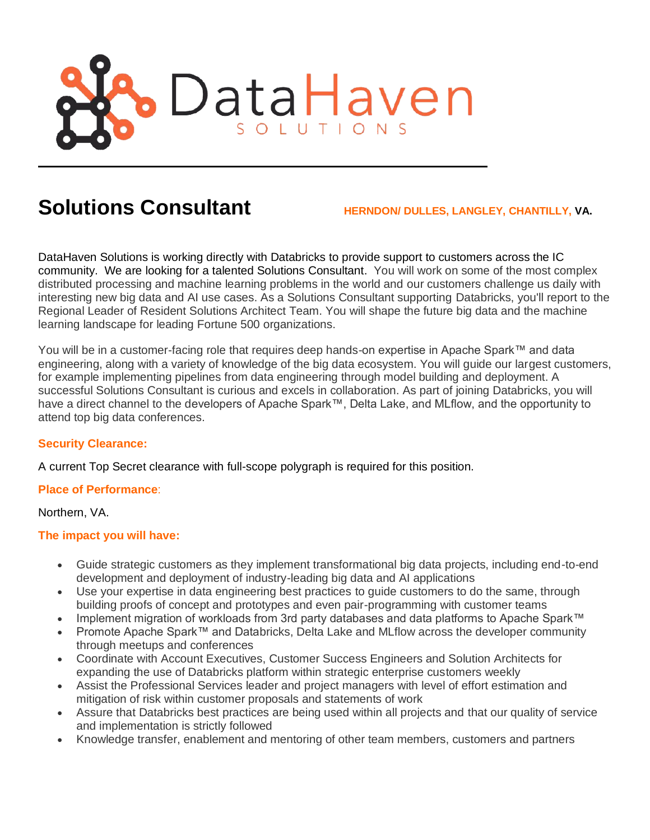

# **Solutions Consultant HERNDON/ DULLES, LANGLEY, CHANTILLY, VA.**

DataHaven Solutions is working directly with Databricks to provide support to customers across the IC community. We are looking for a talented Solutions Consultant. You will work on some of the most complex distributed processing and machine learning problems in the world and our customers challenge us daily with interesting new big data and AI use cases. As a Solutions Consultant supporting Databricks, you'll report to the Regional Leader of Resident Solutions Architect Team. You will shape the future big data and the machine learning landscape for leading Fortune 500 organizations.

You will be in a customer-facing role that requires deep hands-on expertise in Apache Spark™ and data engineering, along with a variety of knowledge of the big data ecosystem. You will guide our largest customers, for example implementing pipelines from data engineering through model building and deployment. A successful Solutions Consultant is curious and excels in collaboration. As part of joining Databricks, you will have a direct channel to the developers of Apache Spark™, Delta Lake, and MLflow, and the opportunity to attend top big data conferences.

## **Security Clearance:**

A current Top Secret clearance with full-scope polygraph is required for this position.

## **Place of Performance**:

Northern, VA.

## **The impact you will have:**

- Guide strategic customers as they implement transformational big data projects, including end-to-end development and deployment of industry-leading big data and AI applications
- Use your expertise in data engineering best practices to guide customers to do the same, through building proofs of concept and prototypes and even pair-programming with customer teams
- Implement migration of workloads from 3rd party databases and data platforms to Apache Spark™
- Promote Apache Spark™ and Databricks, Delta Lake and MLflow across the developer community through meetups and conferences
- Coordinate with Account Executives, Customer Success Engineers and Solution Architects for expanding the use of Databricks platform within strategic enterprise customers weekly
- Assist the Professional Services leader and project managers with level of effort estimation and mitigation of risk within customer proposals and statements of work
- Assure that Databricks best practices are being used within all projects and that our quality of service and implementation is strictly followed
- Knowledge transfer, enablement and mentoring of other team members, customers and partners